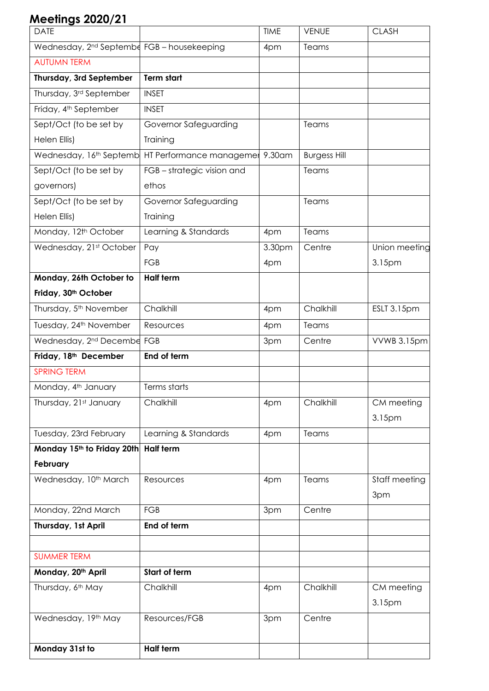## **Meetings 2020/21**

| <b>DATE</b>                                             |                                                                     | <b>TIME</b> | <b>VENUE</b>        | <b>CLASH</b>  |
|---------------------------------------------------------|---------------------------------------------------------------------|-------------|---------------------|---------------|
| Wednesday, 2 <sup>nd</sup> September FGB - housekeeping |                                                                     | 4pm         | Teams               |               |
| <b>AUTUMN TERM</b>                                      |                                                                     |             |                     |               |
| Thursday, 3rd September                                 | <b>Term start</b>                                                   |             |                     |               |
| Thursday, 3rd September                                 | <b>INSET</b>                                                        |             |                     |               |
| Friday, 4 <sup>th</sup> September                       | <b>INSET</b>                                                        |             |                     |               |
| Sept/Oct (to be set by                                  | Governor Safeguarding                                               |             | Teams               |               |
| Helen Ellis)                                            | Training                                                            |             |                     |               |
|                                                         | Wednesday, 16 <sup>th</sup> Septemb HT Performance managemer 9.30am |             | <b>Burgess Hill</b> |               |
| Sept/Oct (to be set by                                  | FGB-strategic vision and                                            |             | Teams               |               |
| governors)                                              | ethos                                                               |             |                     |               |
| Sept/Oct (to be set by                                  | Governor Safeguarding                                               |             | Teams               |               |
| Helen Ellis)                                            | Training                                                            |             |                     |               |
| Monday, 12th October                                    | Learning & Standards                                                | 4pm         | Teams               |               |
| Wednesday, 21st October                                 | Pay                                                                 | 3.30pm      | Centre              | Union meeting |
|                                                         | <b>FGB</b>                                                          | 4pm         |                     | 3.15pm        |
| Monday, 26th October to                                 | <b>Half term</b>                                                    |             |                     |               |
| Friday, 30 <sup>th</sup> October                        |                                                                     |             |                     |               |
| Thursday, 5 <sup>th</sup> November                      | Chalkhill                                                           | 4pm         | Chalkhill           | ESLT 3.15pm   |
| Tuesday, 24 <sup>th</sup> November                      | Resources                                                           | 4pm         | Teams               |               |
| Wednesday, 2 <sup>nd</sup> Decembe FGB                  |                                                                     | 3pm         | Centre              | VVWB 3.15pm   |
| Friday, 18th December                                   | End of term                                                         |             |                     |               |
| <b>SPRING TERM</b>                                      |                                                                     |             |                     |               |
| Monday, 4 <sup>th</sup> January                         | Terms starts                                                        |             |                     |               |
| Thursday, 21st January                                  | Chalkhill                                                           | 4pm         | Chalkhill           | CM meeting    |
|                                                         |                                                                     |             |                     | 3.15pm        |
| Tuesday, 23rd February                                  | Learning & Standards                                                | 4pm         | Teams               |               |
| Monday 15th to Friday 20th                              | <b>Half term</b>                                                    |             |                     |               |
| February                                                |                                                                     |             |                     |               |
| Wednesday, 10 <sup>th</sup> March                       | Resources                                                           | 4pm         | Teams               | Staff meeting |
| Monday, 22nd March                                      | <b>FGB</b>                                                          | 3pm         | Centre              | 3pm           |
| Thursday, 1st April                                     | End of term                                                         |             |                     |               |
|                                                         |                                                                     |             |                     |               |
| <b>SUMMER TERM</b>                                      |                                                                     |             |                     |               |
| Monday, 20 <sup>th</sup> April                          | Start of term                                                       |             |                     |               |
| Thursday, 6th May                                       | Chalkhill                                                           | 4pm         | Chalkhill           | CM meeting    |
|                                                         |                                                                     |             |                     | 3.15pm        |
| Wednesday, 19th May                                     | Resources/FGB                                                       | 3pm         | Centre              |               |
| Monday 31st to                                          | <b>Half term</b>                                                    |             |                     |               |
|                                                         |                                                                     |             |                     |               |